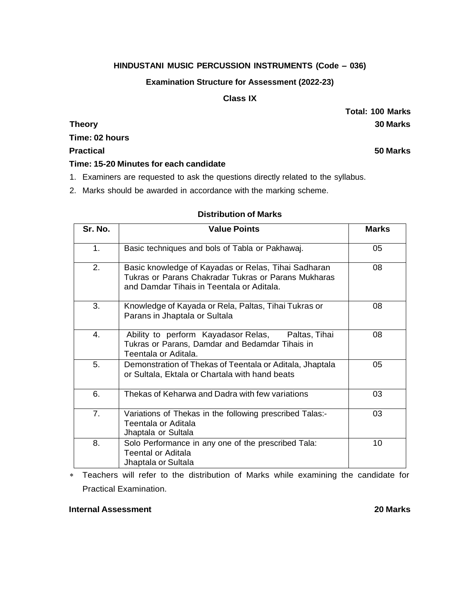### **HINDUSTANI MUSIC PERCUSSION INSTRUMENTS (Code – 036)**

#### **Examination Structure for Assessment (2022-23)**

#### **Class IX**

**Time: 02 hours**

**Practical 50 Marks**

**Time: 15-20 Minutes for each candidate**

- 1. Examiners are requested to ask the questions directly related to the syllabus.
- 2. Marks should be awarded in accordance with the marking scheme.

# **Distribution of Marks**

| Sr. No. | <b>Value Points</b>                                                                                                                                      | <b>Marks</b> |
|---------|----------------------------------------------------------------------------------------------------------------------------------------------------------|--------------|
| 1.      | Basic techniques and bols of Tabla or Pakhawaj.                                                                                                          | 05           |
| 2.      | Basic knowledge of Kayadas or Relas, Tihai Sadharan<br>Tukras or Parans Chakradar Tukras or Parans Mukharas<br>and Damdar Tihais in Teentala or Aditala. | 08           |
| 3.      | Knowledge of Kayada or Rela, Paltas, Tihai Tukras or<br>Parans in Jhaptala or Sultala                                                                    | 08           |
| 4.      | Ability to perform Kayadasor Relas,<br>Paltas, Tihai<br>Tukras or Parans, Damdar and Bedamdar Tihais in<br>Teentala or Aditala.                          | 08           |
| 5.      | Demonstration of Thekas of Teentala or Aditala, Jhaptala<br>or Sultala, Ektala or Chartala with hand beats                                               | 05           |
| 6.      | Thekas of Keharwa and Dadra with few variations                                                                                                          | 03           |
| 7.      | Variations of Thekas in the following prescribed Talas:-<br>Teentala or Aditala<br>Jhaptala or Sultala                                                   | 03           |
| 8.      | Solo Performance in any one of the prescribed Tala:<br><b>Teental or Aditala</b><br>Jhaptala or Sultala                                                  | 10           |

 Teachers will refer to the distribution of Marks while examining the candidate for Practical Examination.

### **Internal Assessment 20 Marks**

**Total: 100 Marks Theory 30 Marks**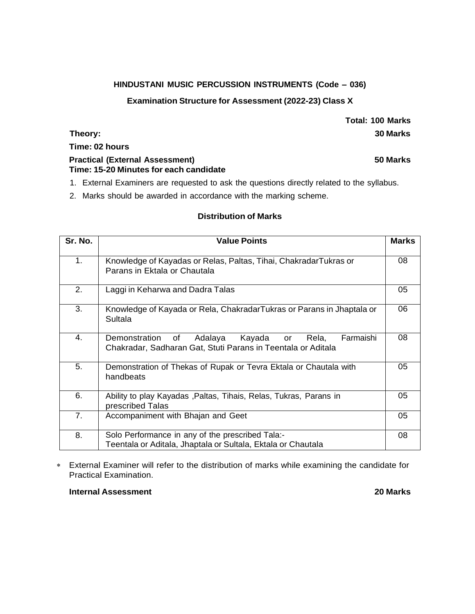### **HINDUSTANI MUSIC PERCUSSION INSTRUMENTS (Code – 036)**

#### **Examination Structure for Assessment (2022-23) Class X**

# **Time: 02 hours**

#### **Practical (External Assessment) 50 Marks Time: 15-20 Minutes for each candidate**

- 1. External Examiners are requested to ask the questions directly related to the syllabus.
- 2. Marks should be awarded in accordance with the marking scheme.

### **Distribution of Marks**

| Sr. No.        | <b>Value Points</b>                                                                                                                  | <b>Marks</b> |
|----------------|--------------------------------------------------------------------------------------------------------------------------------------|--------------|
| 1 <sub>1</sub> | Knowledge of Kayadas or Relas, Paltas, Tihai, ChakradarTukras or<br>Parans in Ektala or Chautala                                     | 08           |
| 2.             | Laggi in Keharwa and Dadra Talas                                                                                                     | 05           |
| 3.             | Knowledge of Kayada or Rela, ChakradarTukras or Parans in Jhaptala or<br>Sultala                                                     | 06           |
| 4.             | Farmaishi<br>Demonstration<br>Kayada<br>of<br>Adalaya<br>Rela,<br>or<br>Chakradar, Sadharan Gat, Stuti Parans in Teentala or Aditala | 08           |
| 5.             | Demonstration of Thekas of Rupak or Tevra Ektala or Chautala with<br>handbeats                                                       | 05           |
| 6.             | Ability to play Kayadas, Paltas, Tihais, Relas, Tukras, Parans in<br>prescribed Talas                                                | 05           |
| 7.             | Accompaniment with Bhajan and Geet                                                                                                   | 05           |
| 8.             | Solo Performance in any of the prescribed Tala:-<br>Teentala or Aditala, Jhaptala or Sultala, Ektala or Chautala                     | 08           |

 External Examiner will refer to the distribution of marks while examining the candidate for Practical Examination.

### **Internal Assessment 20 Marks**

**Total: 100 Marks Theory: 30 Marks**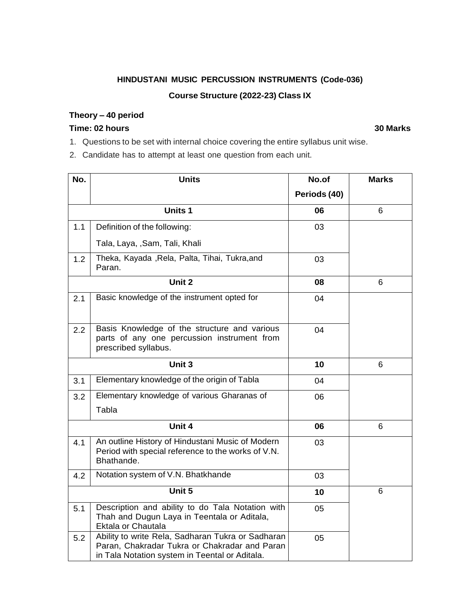# **HINDUSTANI MUSIC PERCUSSION INSTRUMENTS (Code-036) Course Structure (2022-23) Class IX**

# **Theory – 40 period**

# **Time: 02 hours 30 Marks**

1. Questions to be set with internal choice covering the entire syllabus unit wise.

2. Candidate has to attempt at least one question from each unit.

| No. | <b>Units</b>                                                                                                                                         | No.of        | <b>Marks</b> |
|-----|------------------------------------------------------------------------------------------------------------------------------------------------------|--------------|--------------|
|     |                                                                                                                                                      | Periods (40) |              |
|     | <b>Units 1</b>                                                                                                                                       | 06           | 6            |
| 1.1 | Definition of the following:                                                                                                                         | 03           |              |
|     | Tala, Laya, , Sam, Tali, Khali                                                                                                                       |              |              |
| 1.2 | Theka, Kayada , Rela, Palta, Tihai, Tukra, and<br>Paran.                                                                                             | 03           |              |
|     | Unit 2                                                                                                                                               | 08           | 6            |
| 2.1 | Basic knowledge of the instrument opted for                                                                                                          | 04           |              |
| 2.2 | Basis Knowledge of the structure and various<br>parts of any one percussion instrument from<br>prescribed syllabus.                                  | 04           |              |
|     | Unit 3                                                                                                                                               | 10           | 6            |
| 3.1 | Elementary knowledge of the origin of Tabla                                                                                                          | 04           |              |
| 3.2 | Elementary knowledge of various Gharanas of                                                                                                          | 06           |              |
|     | Tabla                                                                                                                                                |              |              |
|     | Unit 4                                                                                                                                               | 06           | 6            |
| 4.1 | An outline History of Hindustani Music of Modern<br>Period with special reference to the works of V.N.<br>Bhathande.                                 | 03           |              |
| 4.2 | Notation system of V.N. Bhatkhande                                                                                                                   | 03           |              |
|     | Unit 5                                                                                                                                               | 10           | 6            |
| 5.1 | Description and ability to do Tala Notation with<br>Thah and Dugun Laya in Teentala or Aditala,<br>Ektala or Chautala                                | 05           |              |
| 5.2 | Ability to write Rela, Sadharan Tukra or Sadharan<br>Paran, Chakradar Tukra or Chakradar and Paran<br>in Tala Notation system in Teental or Aditala. | 05           |              |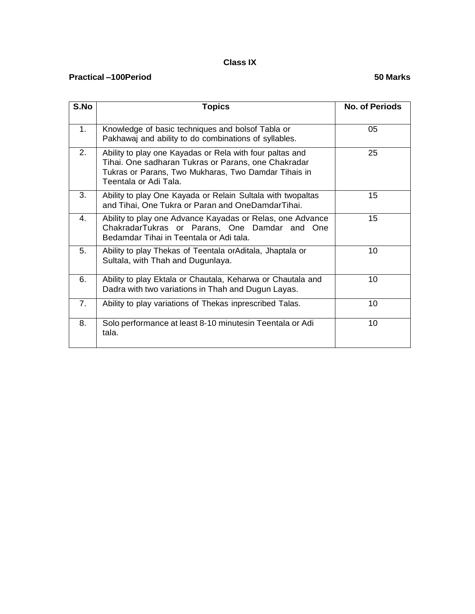# **Class IX**

#### **Practical –100Period 50 Marks**

| S.No           | <b>Topics</b>                                                                                                                                                                                    | <b>No. of Periods</b> |
|----------------|--------------------------------------------------------------------------------------------------------------------------------------------------------------------------------------------------|-----------------------|
| 1.             | Knowledge of basic techniques and bolsof Tabla or<br>Pakhawaj and ability to do combinations of syllables.                                                                                       | 05                    |
| 2.             | Ability to play one Kayadas or Rela with four paltas and<br>Tihai. One sadharan Tukras or Parans, one Chakradar<br>Tukras or Parans, Two Mukharas, Two Damdar Tihais in<br>Teentala or Adi Tala. | 25                    |
| 3.             | Ability to play One Kayada or Relain Sultala with twopaltas<br>and Tihai, One Tukra or Paran and OneDamdarTihai.                                                                                 | 15                    |
| $\mathbf{4}$ . | Ability to play one Advance Kayadas or Relas, one Advance<br>ChakradarTukras or Parans, One Damdar and One<br>Bedamdar Tihai in Teentala or Adi tala.                                            | 15                    |
| 5.             | Ability to play Thekas of Teentala orAditala, Jhaptala or<br>Sultala, with Thah and Dugunlaya.                                                                                                   | 10                    |
| 6.             | Ability to play Ektala or Chautala, Keharwa or Chautala and<br>Dadra with two variations in Thah and Dugun Layas.                                                                                | 10                    |
| 7.             | Ability to play variations of Thekas inprescribed Talas.                                                                                                                                         | 10                    |
| 8.             | Solo performance at least 8-10 minutesin Teentala or Adi<br>tala.                                                                                                                                | 10                    |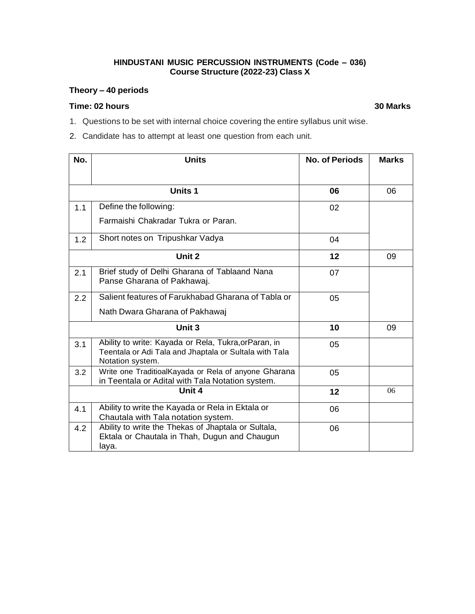#### **HINDUSTANI MUSIC PERCUSSION INSTRUMENTS (Code – 036) Course Structure (2022-23) Class X**

# **Theory – 40 periods**

#### **Time: 02 hours 30 Marks**

- 1. Questions to be set with internal choice covering the entire syllabus unit wise.
- 2. Candidate has to attempt at least one question from each unit.

| No. | <b>Units</b>                                                                                                                        | <b>No. of Periods</b> | <b>Marks</b> |
|-----|-------------------------------------------------------------------------------------------------------------------------------------|-----------------------|--------------|
|     |                                                                                                                                     |                       |              |
|     | <b>Units 1</b>                                                                                                                      | 06                    | 06           |
| 1.1 | Define the following:                                                                                                               | 02                    |              |
|     | Farmaishi Chakradar Tukra or Paran.                                                                                                 |                       |              |
| 1.2 | Short notes on Tripushkar Vadya                                                                                                     | 04                    |              |
|     | Unit 2                                                                                                                              | 12                    | 09           |
| 2.1 | Brief study of Delhi Gharana of Tablaand Nana<br>Panse Gharana of Pakhawaj.                                                         | 07                    |              |
| 2.2 | Salient features of Farukhabad Gharana of Tabla or                                                                                  | 05                    |              |
|     | Nath Dwara Gharana of Pakhawaj                                                                                                      |                       |              |
|     | Unit 3                                                                                                                              | 10                    | 09           |
| 3.1 | Ability to write: Kayada or Rela, Tukra, or Paran, in<br>Teentala or Adi Tala and Jhaptala or Sultala with Tala<br>Notation system. | 05                    |              |
| 3.2 | Write one TraditioalKayada or Rela of anyone Gharana<br>in Teentala or Adital with Tala Notation system.                            | 05                    |              |
|     | Unit 4                                                                                                                              | 12                    | 06           |
| 4.1 | Ability to write the Kayada or Rela in Ektala or<br>Chautala with Tala notation system.                                             | 06                    |              |
| 4.2 | Ability to write the Thekas of Jhaptala or Sultala,<br>Ektala or Chautala in Thah, Dugun and Chaugun<br>laya.                       | 06                    |              |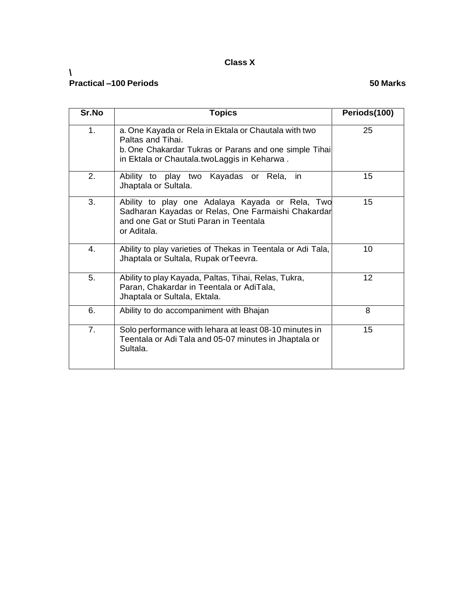# **Class X**

#### **\ Practical –100 Periods 50 Marks**

| Sr.No          | <b>Topics</b>                                                                                                                                                                      | Periods(100) |
|----------------|------------------------------------------------------------------------------------------------------------------------------------------------------------------------------------|--------------|
| 1.             | a. One Kayada or Rela in Ektala or Chautala with two<br>Paltas and Tihai.<br>b. One Chakardar Tukras or Parans and one simple Tihai<br>in Ektala or Chautala.twoLaggis in Keharwa. | 25           |
| 2.             | Ability to play two Kayadas or Rela, in<br>Jhaptala or Sultala.                                                                                                                    | 15           |
| 3.             | Ability to play one Adalaya Kayada or Rela, Two<br>Sadharan Kayadas or Relas, One Farmaishi Chakardar<br>and one Gat or Stuti Paran in Teentala<br>or Aditala.                     | 15           |
| 4.             | Ability to play varieties of Thekas in Teentala or Adi Tala,<br>Jhaptala or Sultala, Rupak orTeevra.                                                                               | 10           |
| 5.             | Ability to play Kayada, Paltas, Tihai, Relas, Tukra,<br>Paran, Chakardar in Teentala or AdiTala,<br>Jhaptala or Sultala, Ektala.                                                   | 12           |
| 6.             | Ability to do accompaniment with Bhajan                                                                                                                                            | 8            |
| 7 <sub>1</sub> | Solo performance with lehara at least 08-10 minutes in<br>Teentala or Adi Tala and 05-07 minutes in Jhaptala or<br>Sultala.                                                        | 15           |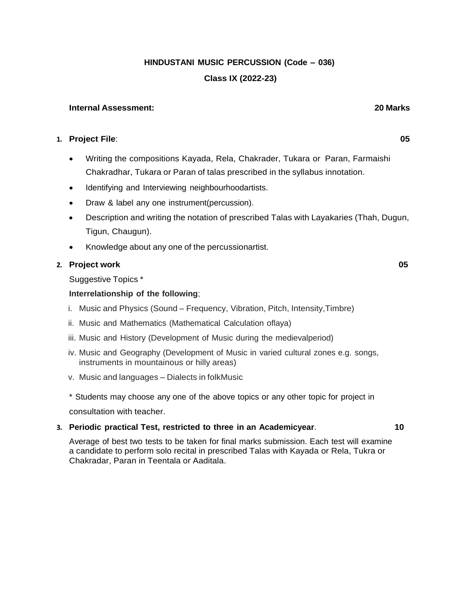**HINDUSTANI MUSIC PERCUSSION (Code – 036)**

**Class IX (2022-23)**

#### **Internal Assessment: 20 Marks**

#### **1. Project File**: **05**

- Writing the compositions Kayada, Rela, Chakrader, Tukara or Paran, Farmaishi Chakradhar, Tukara or Paran of talas prescribed in the syllabus innotation.
- Identifying and Interviewing neighbourhoodartists.
- Draw & label any one instrument(percussion).
- Description and writing the notation of prescribed Talas with Layakaries (Thah, Dugun, Tigun, Chaugun).
- Knowledge about any one of the percussionartist.

#### **2. Project work 05**

Suggestive Topics \*

### **Interrelationship of the following**;

- i. Music and Physics (Sound Frequency, Vibration, Pitch, Intensity,Timbre)
- ii. Music and Mathematics (Mathematical Calculation oflaya)
- iii. Music and History (Development of Music during the medievalperiod)
- iv. Music and Geography (Development of Music in varied cultural zones e.g. songs, instruments in mountainous or hilly areas)
- v. Music and languages Dialects in folkMusic
- \* Students may choose any one of the above topics or any other topic for project in

consultation with teacher.

#### **3. Periodic practical Test, restricted to three in an Academicyear**. **10**

Average of best two tests to be taken for final marks submission. Each test will examine a candidate to perform solo recital in prescribed Talas with Kayada or Rela, Tukra or Chakradar, Paran in Teentala or Aaditala.